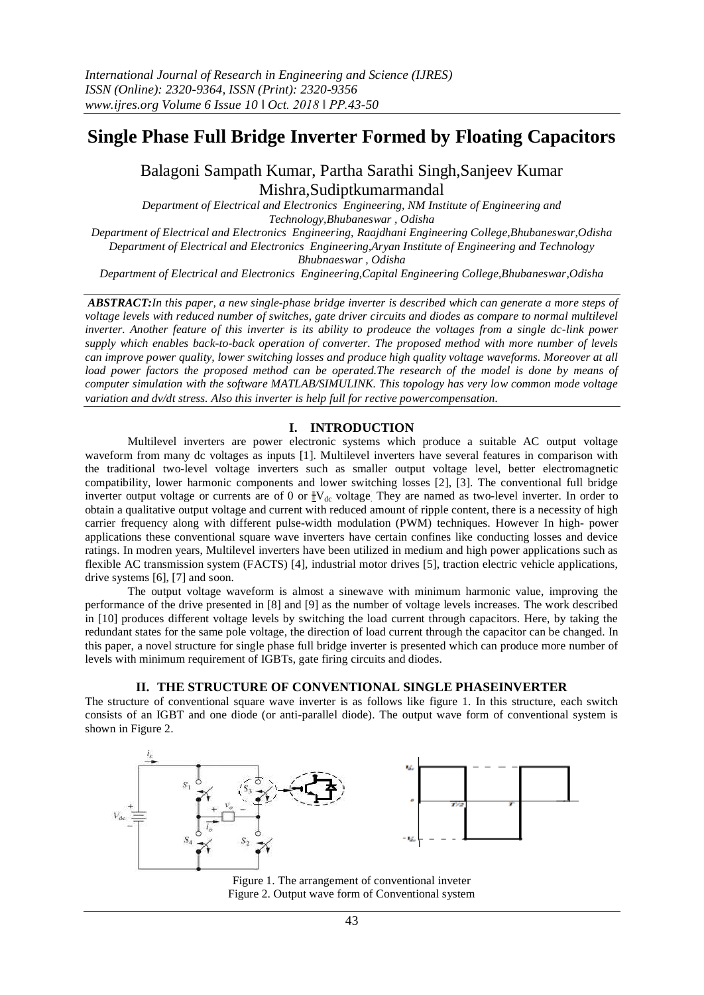# **Single Phase Full Bridge Inverter Formed by Floating Capacitors**

Balagoni Sampath Kumar, Partha Sarathi Singh,Sanjeev Kumar Mishra,Sudiptkumarmandal

*Department of Electrical and Electronics Engineering, NM Institute of Engineering and Technology,Bhubaneswar , Odisha Department of Electrical and Electronics Engineering, Raajdhani Engineering College,Bhubaneswar,Odisha Department of Electrical and Electronics Engineering,Aryan Institute of Engineering and Technology Bhubnaeswar , Odisha*

*Department of Electrical and Electronics Engineering,Capital Engineering College,Bhubaneswar,Odisha*

*ABSTRACT:In this paper, a new single-phase bridge inverter is described which can generate a more steps of voltage levels with reduced number of switches, gate driver circuits and diodes as compare to normal multilevel inverter. Another feature of this inverter is its ability to prodeuce the voltages from a single dc-link power supply which enables back-to-back operation of converter. The proposed method with more number of levels can improve power quality, lower switching losses and produce high quality voltage waveforms. Moreover at all load power factors the proposed method can be operated.The research of the model is done by means of computer simulation with the software MATLAB/SIMULINK. This topology has very low common mode voltage variation and dv/dt stress. Also this inverter is help full for rective powercompensation.*

## **I. INTRODUCTION**

Multilevel inverters are power electronic systems which produce a suitable AC output voltage waveform from many dc voltages as inputs [1]. Multilevel inverters have several features in comparison with the traditional two-level voltage inverters such as smaller output voltage level, better electromagnetic compatibility, lower harmonic components and lower switching losses [2], [3]. The conventional full bridge inverter output voltage or currents are of 0 or  $\frac{1}{2}V_{dc}$  voltage. They are named as two-level inverter. In order to obtain a qualitative output voltage and current with reduced amount of ripple content, there is a necessity of high carrier frequency along with different pulse-width modulation (PWM) techniques. However In high- power applications these conventional square wave inverters have certain confines like conducting losses and device ratings. In modren years, Multilevel inverters have been utilized in medium and high power applications such as flexible AC transmission system (FACTS) [4], industrial motor drives [5], traction electric vehicle applications, drive systems [6], [7] and soon.

The output voltage waveform is almost a sinewave with minimum harmonic value, improving the performance of the drive presented in [8] and [9] as the number of voltage levels increases. The work described in [10] produces different voltage levels by switching the load current through capacitors. Here, by taking the redundant states for the same pole voltage, the direction of load current through the capacitor can be changed. In this paper, a novel structure for single phase full bridge inverter is presented which can produce more number of levels with minimum requirement of IGBTs, gate firing circuits and diodes.

# **II. THE STRUCTURE OF CONVENTIONAL SINGLE PHASEINVERTER**

The structure of conventional square wave inverter is as follows like figure 1. In this structure, each switch consists of an IGBT and one diode (or anti-parallel diode). The output wave form of conventional system is shown in Figure 2.



Figure 1. The arrangement of conventional inveter Figure 2. Output wave form of Conventional system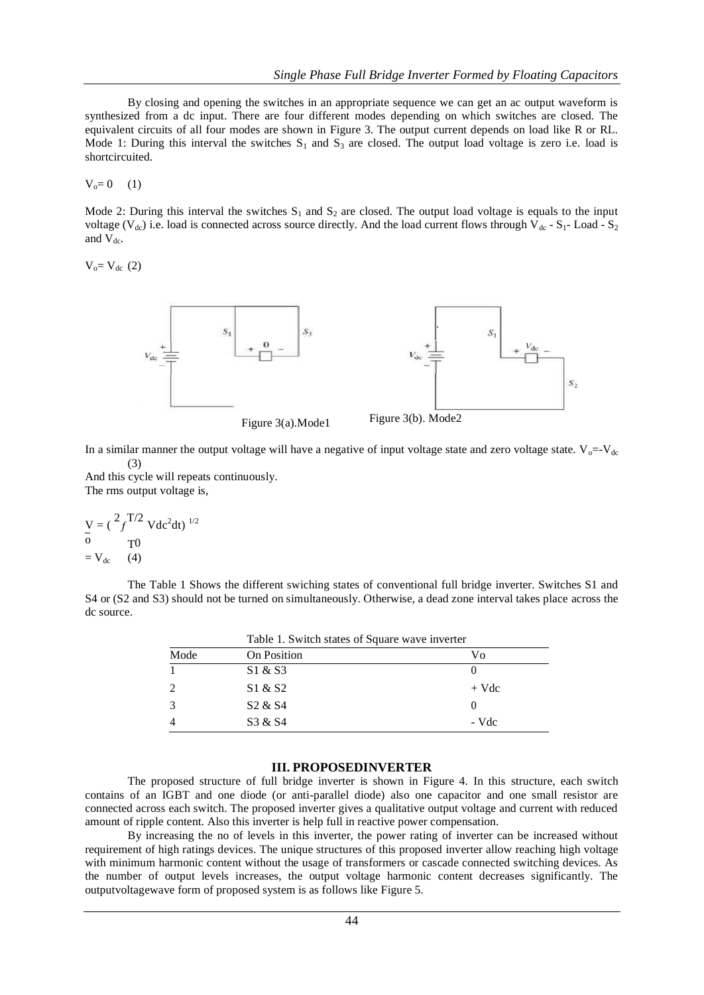By closing and opening the switches in an appropriate sequence we can get an ac output waveform is synthesized from a dc input. There are four different modes depending on which switches are closed. The equivalent circuits of all four modes are shown in Figure 3. The output current depends on load like R or RL. Mode 1: During this interval the switches  $S_1$  and  $S_3$  are closed. The output load voltage is zero i.e. load is shortcircuited.

 $V_0 = 0$  (1)

Mode 2: During this interval the switches  $S_1$  and  $S_2$  are closed. The output load voltage is equals to the input voltage ( $V_{dc}$ ) i.e. load is connected across source directly. And the load current flows through  $V_{dc}$  - S<sub>1</sub>- Load - S<sub>2</sub> and  $V_{dc}$ .

 $V_o = V_{dc} (2)$ 





In a similar manner the output voltage will have a negative of input voltage state and zero voltage state.  $V_0 = V_{dc}$  $(3)$ 

And this cycle will repeats continuously. The rms output voltage is,

$$
\frac{V}{\rho} = (\frac{2}{f})^{T/2} Vdc^2 dt^{1/2}
$$
  
=  $V_{dc}$  (4)

The Table 1 Shows the different swiching states of conventional full bridge inverter. Switches S1 and S4 or (S2 and S3) should not be turned on simultaneously. Otherwise, a dead zone interval takes place across the dc source.

|      | Table 1. Switch states of Square wave inverter |         |  |
|------|------------------------------------------------|---------|--|
| Mode | <b>On Position</b>                             | Vo      |  |
|      | S1 & S3                                        |         |  |
| 2    | S1 & S2                                        | $+$ Vdc |  |
|      | S <sub>2</sub> & S <sub>4</sub>                |         |  |
|      | S3 & S4                                        | - Vdc   |  |

#### **III. PROPOSEDINVERTER**

The proposed structure of full bridge inverter is shown in Figure 4. In this structure, each switch contains of an IGBT and one diode (or anti-parallel diode) also one capacitor and one small resistor are connected across each switch. The proposed inverter gives a qualitative output voltage and current with reduced amount of ripple content. Also this inverter is help full in reactive power compensation.

By increasing the no of levels in this inverter, the power rating of inverter can be increased without requirement of high ratings devices. The unique structures of this proposed inverter allow reaching high voltage with minimum harmonic content without the usage of transformers or cascade connected switching devices. As the number of output levels increases, the output voltage harmonic content decreases significantly. The outputvoltagewave form of proposed system is as follows like Figure 5.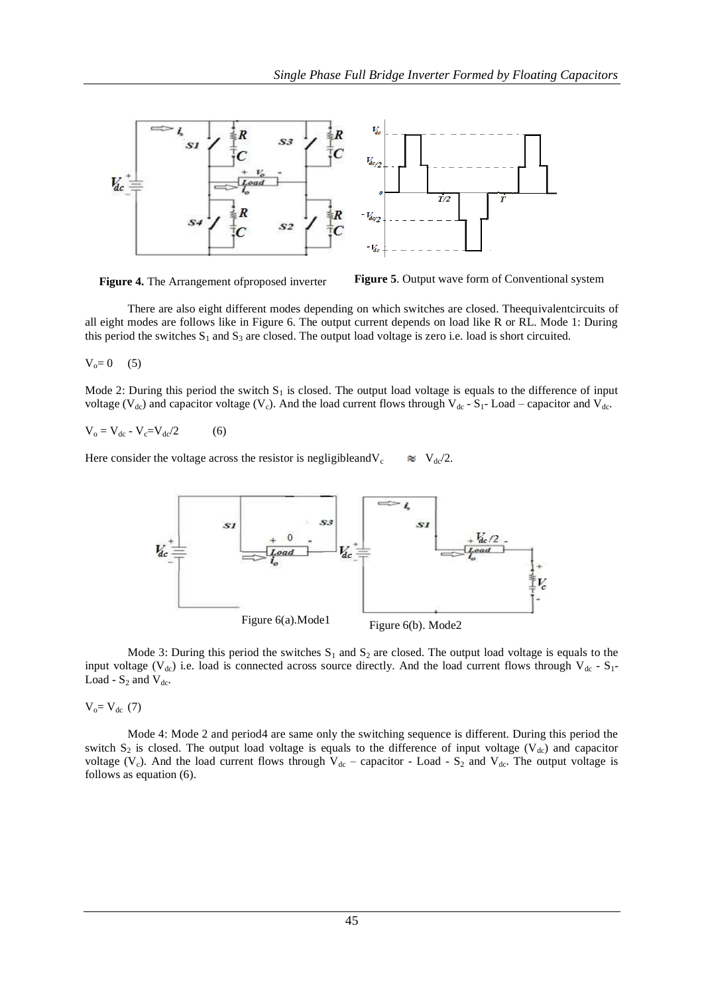

**Figure 4.** The Arrangement ofproposed inverter **Figure 5**. Output wave form of Conventional system

There are also eight different modes depending on which switches are closed. Theequivalentcircuits of all eight modes are follows like in Figure 6. The output current depends on load like R or RL. Mode 1: During this period the switches  $S_1$  and  $S_3$  are closed. The output load voltage is zero i.e. load is short circuited.

 $V_o = 0$  (5)

Mode 2: During this period the switch  $S_1$  is closed. The output load voltage is equals to the difference of input voltage ( $V_{dc}$ ) and capacitor voltage ( $V_c$ ). And the load current flows through  $V_{dc}$  -  $S_1$ - Load – capacitor and  $V_{dc}$ .

 $V_o = V_{dc} - V_c = V_{dc}/2$  (6)

Here consider the voltage across the resistor is negligibleand  $V_c \approx V_{dc}/2$ .



Mode 3: During this period the switches  $S_1$  and  $S_2$  are closed. The output load voltage is equals to the input voltage ( $V_{dc}$ ) i.e. load is connected across source directly. And the load current flows through  $V_{dc}$  - S<sub>1</sub>-Load -  $S_2$  and  $V_{dc}$ .

 $V_o = V_{dc}$  (7)

Mode 4: Mode 2 and period4 are same only the switching sequence is different. During this period the switch  $S_2$  is closed. The output load voltage is equals to the difference of input voltage (V<sub>dc</sub>) and capacitor voltage (V<sub>c</sub>). And the load current flows through V<sub>dc</sub> – capacitor - Load - S<sub>2</sub> and V<sub>dc</sub>. The output voltage is follows as equation (6).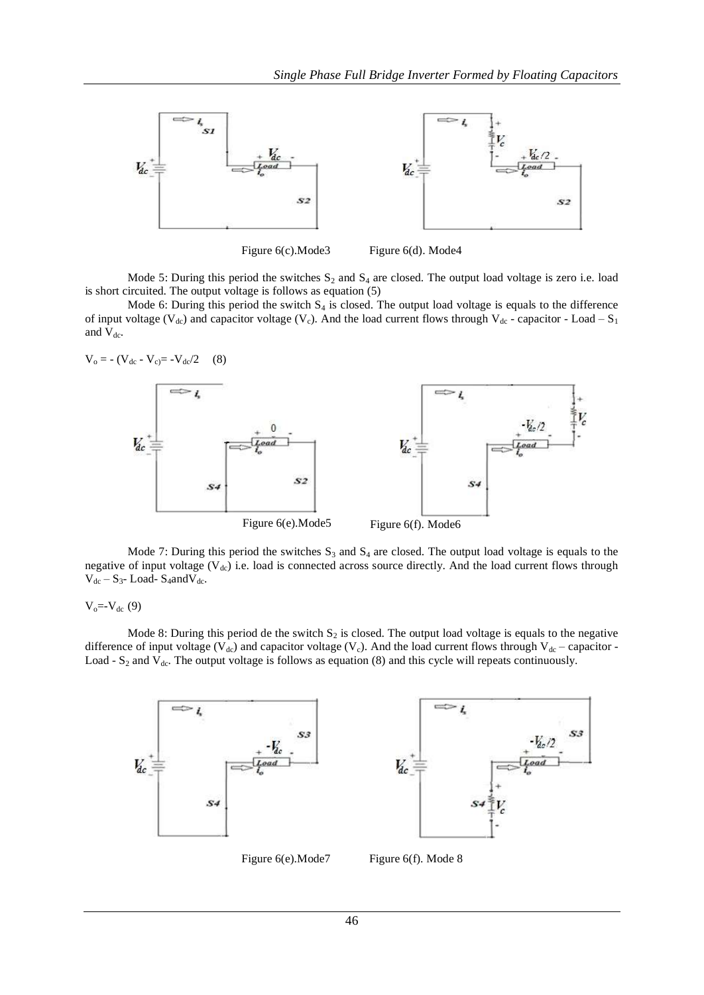

Mode 5: During this period the switches  $S_2$  and  $S_4$  are closed. The output load voltage is zero i.e. load is short circuited. The output voltage is follows as equation (5)

Mode 6: During this period the switch  $S_4$  is closed. The output load voltage is equals to the difference of input voltage ( $V_{dc}$ ) and capacitor voltage ( $V_c$ ). And the load current flows through  $V_{dc}$  - capacitor - Load –  $S_1$ and  $V_{dc}$ .

$$
V_o = - (V_{dc} - V_{c}) = -V_{dc}/2
$$
 (8)  
\n
$$
V_{dc} =
$$
\n
$$
V_{dc} =
$$
\n
$$
V_{dc} =
$$
\n
$$
V_{dc} =
$$
\n
$$
V_{dc} =
$$
\n
$$
V_{dc} =
$$
\n
$$
V_{dc} =
$$
\n
$$
V_{dc} =
$$
\n
$$
V_{dc} =
$$
\n
$$
V_{dc} =
$$
\n
$$
V_{dc} =
$$
\n
$$
V_{dc} =
$$
\n
$$
V_{dc} =
$$
\n
$$
V_{dc} =
$$
\n
$$
V_{dc} =
$$
\n
$$
V_{dc} =
$$
\n
$$
V_{dc} =
$$
\n
$$
V_{dc} =
$$
\n
$$
V_{dc} =
$$
\n
$$
V_{dc} =
$$
\n
$$
V_{dc} =
$$
\n
$$
V_{dc} =
$$
\n
$$
V_{dc} =
$$
\n
$$
V_{dc} =
$$
\n
$$
V_{dc} =
$$
\n
$$
V_{dc} =
$$
\n
$$
V_{dc} =
$$
\n
$$
V_{dc} =
$$
\n
$$
V_{dc} =
$$
\n
$$
V_{dc} =
$$
\n
$$
V_{dc} =
$$
\n
$$
V_{dc} =
$$
\n
$$
V_{dc} =
$$
\n
$$
V_{dc} =
$$
\n
$$
V_{dc} =
$$
\n
$$
V_{dc} =
$$
\n
$$
V_{dc} =
$$
\n
$$
V_{dc} =
$$
\n
$$
V_{dc} =
$$
\n
$$
V_{dc} =
$$
\n
$$
V_{dc} =
$$
\n
$$
V_{dc} =
$$
\n
$$
V_{dc} =
$$
\n
$$
V_{dc} =
$$
\n
$$
V_{dc} =
$$
\n
$$
V_{dc} =
$$
\n
$$
V_{dc} =
$$
\n
$$
V_{dc} =
$$
\n
$$
V_{dc
$$

Mode 7: During this period the switches  $S_3$  and  $S_4$  are closed. The output load voltage is equals to the negative of input voltage  $(V_{dc})$  i.e. load is connected across source directly. And the load current flows through  $V_{dc} - S_{3}$ - Load- S<sub>4</sub>and $V_{dc}$ .

$$
V_o = -V_{dc} (9)
$$

Mode 8: During this period de the switch  $S_2$  is closed. The output load voltage is equals to the negative difference of input voltage (V<sub>dc</sub>) and capacitor voltage (V<sub>c</sub>). And the load current flows through V<sub>dc</sub> – capacitor -Load -  $S_2$  and  $V_{dc}$ . The output voltage is follows as equation (8) and this cycle will repeats continuously.





Figure 6(e). Mode 7 Figure 6(f). Mode 8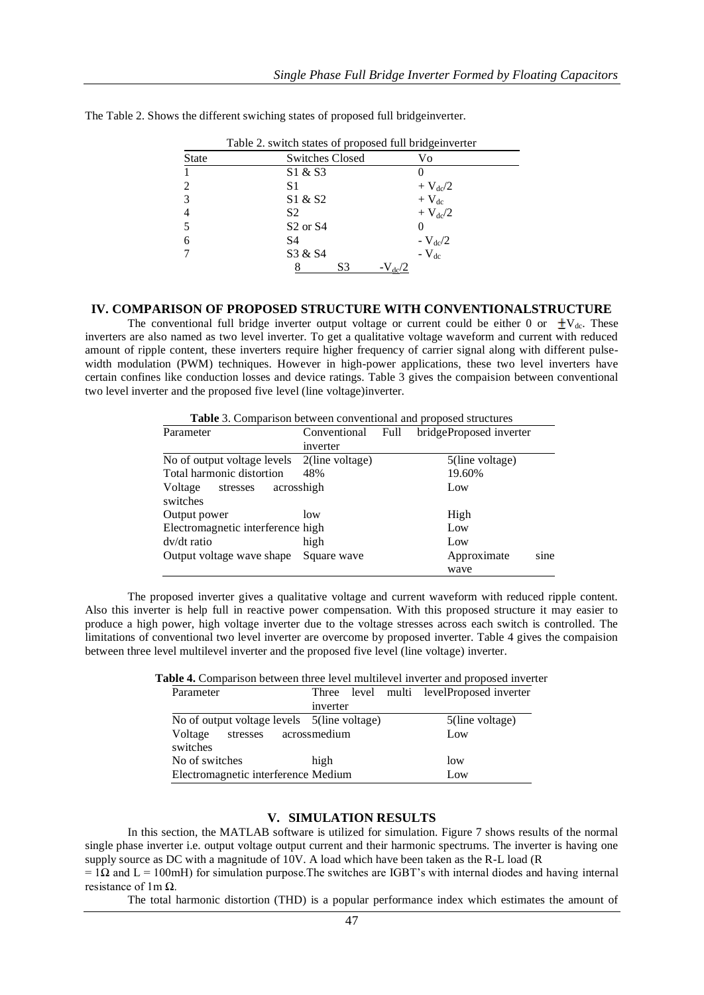| <b>State</b>   | <b>Switches Closed</b> | Vo                 |
|----------------|------------------------|--------------------|
|                | S1 & S3                |                    |
| 2              | S1                     | $+ V_{dc}/2$       |
| 3              | S1 & S2                | $+V_{dc}$          |
| $\overline{4}$ | S <sub>2</sub>         | $+ V_{dc}/2$       |
| 5              | $S2$ or $S4$           |                    |
| 6              | S4                     | $-V_{\text{dc}}/2$ |
| 7              | S3 & S4                | $-V_{dc}$          |
|                | S3                     |                    |

The Table 2. Shows the different swiching states of proposed full bridgeinverter.

#### **IV. COMPARISON OF PROPOSED STRUCTURE WITH CONVENTIONALSTRUCTURE**

The conventional full bridge inverter output voltage or current could be either 0 or  $\pm V_{dc}$ . These inverters are also named as two level inverter. To get a qualitative voltage waveform and current with reduced amount of ripple content, these inverters require higher frequency of carrier signal along with different pulsewidth modulation (PWM) techniques. However in high-power applications, these two level inverters have certain confines like conduction losses and device ratings. Table 3 gives the compaision between conventional two level inverter and the proposed five level (line voltage)inverter.

**Table** 3. Comparison between conventional and proposed structures

| Parameter                         | Conventional       | Full | bridgeProposed inverter |
|-----------------------------------|--------------------|------|-------------------------|
|                                   | inverter           |      |                         |
| No of output voltage levels       | $2$ (line voltage) |      | 5(line voltage)         |
| Total harmonic distortion         | 48%                |      | 19.60%                  |
| acrosshigh<br>Voltage<br>stresses |                    |      | Low                     |
| switches                          |                    |      |                         |
| Output power                      | low                |      | High                    |
| Electromagnetic interference high |                    |      | Low                     |
| $dv/dt$ ratio                     | high               |      | Low                     |
| Output voltage wave shape         | Square wave        |      | sine<br>Approximate     |
|                                   |                    |      | wave                    |

The proposed inverter gives a qualitative voltage and current waveform with reduced ripple content. Also this inverter is help full in reactive power compensation. With this proposed structure it may easier to produce a high power, high voltage inverter due to the voltage stresses across each switch is controlled. The limitations of conventional two level inverter are overcome by proposed inverter. Table 4 gives the compaision between three level multilevel inverter and the proposed five level (line voltage) inverter.

**Table 4.** Comparison between three level multilevel inverter and proposed inverter

| Parameter                                    |          | Three level multi levelProposed inverter |
|----------------------------------------------|----------|------------------------------------------|
|                                              | inverter |                                          |
| No of output voltage levels 5(line voltage)  |          | 5(line voltage)                          |
| stresses acrossmedium<br>Voltage<br>switches |          | Low                                      |
| No of switches                               | high     | low                                      |
| Electromagnetic interference Medium          | Low      |                                          |

### **V. SIMULATION RESULTS**

In this section, the MATLAB software is utilized for simulation. Figure 7 shows results of the normal single phase inverter i.e. output voltage output current and their harmonic spectrums. The inverter is having one supply source as DC with a magnitude of 10V. A load which have been taken as the R-L load (R

 $= 1\Omega$  and L = 100mH) for simulation purpose. The switches are IGBT's with internal diodes and having internal resistance of 1m Ω.

The total harmonic distortion (THD) is a popular performance index which estimates the amount of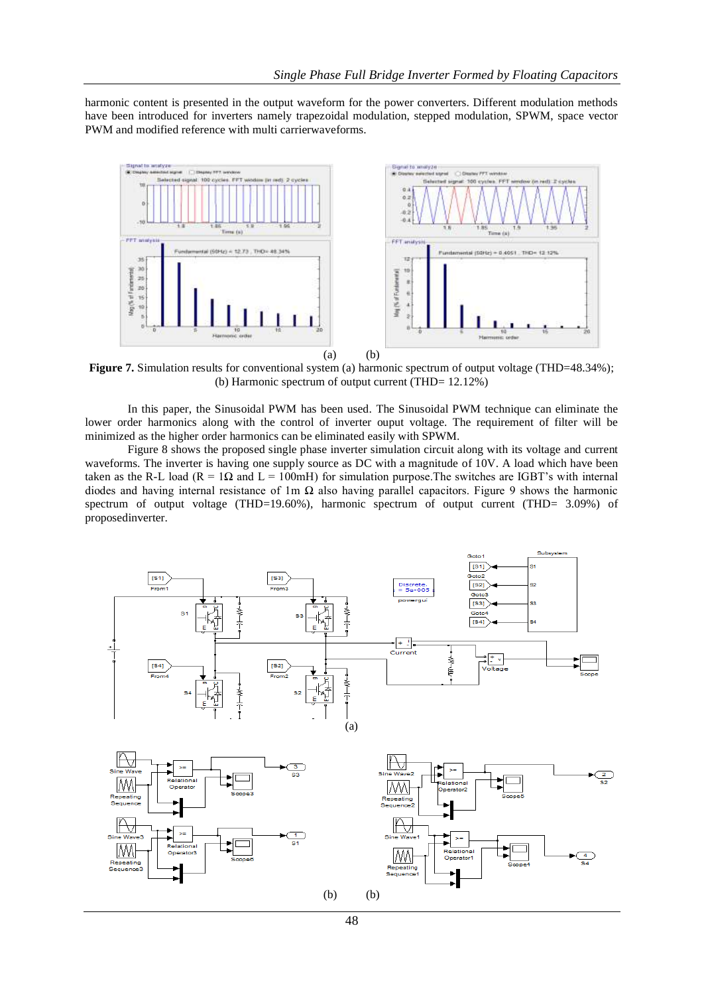harmonic content is presented in the output waveform for the power converters. Different modulation methods have been introduced for inverters namely trapezoidal modulation, stepped modulation, SPWM, space vector PWM and modified reference with multi carrierwaveforms.



**Figure 7.** Simulation results for conventional system (a) harmonic spectrum of output voltage (THD=48.34%); (b) Harmonic spectrum of output current (THD= 12.12%)

In this paper, the Sinusoidal PWM has been used. The Sinusoidal PWM technique can eliminate the lower order harmonics along with the control of inverter ouput voltage. The requirement of filter will be minimized as the higher order harmonics can be eliminated easily with SPWM.

Figure 8 shows the proposed single phase inverter simulation circuit along with its voltage and current waveforms. The inverter is having one supply source as DC with a magnitude of 10V. A load which have been taken as the R-L load ( $R = 1\Omega$  and  $L = 100$ mH) for simulation purpose. The switches are IGBT's with internal diodes and having internal resistance of 1m  $\Omega$  also having parallel capacitors. Figure 9 shows the harmonic spectrum of output voltage (THD=19.60%), harmonic spectrum of output current (THD= 3.09%) of proposedinverter.

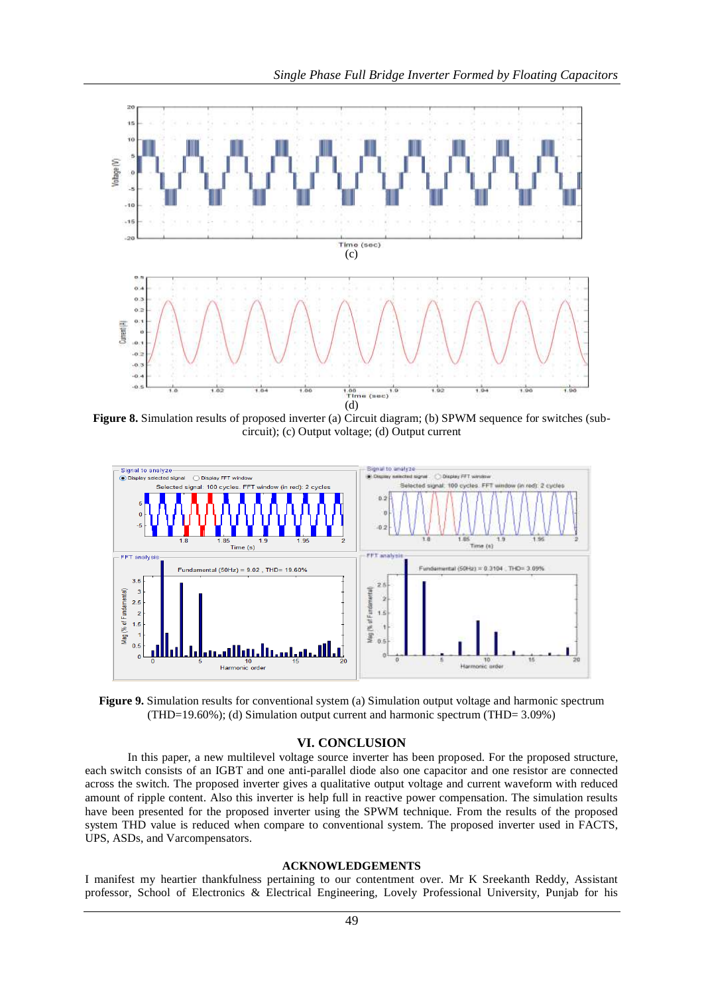

**Figure 8.** Simulation results of proposed inverter (a) Circuit diagram; (b) SPWM sequence for switches (subcircuit); (c) Output voltage; (d) Output current



**Figure 9.** Simulation results for conventional system (a) Simulation output voltage and harmonic spectrum (THD=19.60%); (d) Simulation output current and harmonic spectrum (THD= 3.09%)

## **VI. CONCLUSION**

In this paper, a new multilevel voltage source inverter has been proposed. For the proposed structure, each switch consists of an IGBT and one anti-parallel diode also one capacitor and one resistor are connected across the switch. The proposed inverter gives a qualitative output voltage and current waveform with reduced amount of ripple content. Also this inverter is help full in reactive power compensation. The simulation results have been presented for the proposed inverter using the SPWM technique. From the results of the proposed system THD value is reduced when compare to conventional system. The proposed inverter used in FACTS, UPS, ASDs, and Varcompensators.

## **ACKNOWLEDGEMENTS**

I manifest my heartier thankfulness pertaining to our contentment over. Mr K Sreekanth Reddy, Assistant professor, School of Electronics & Electrical Engineering, Lovely Professional University, Punjab for his